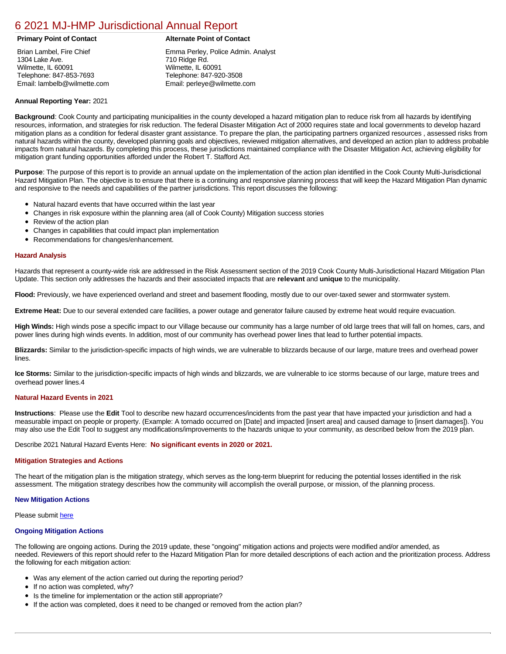# [6 2021 MJ-HMP Jurisdictional Annual Report](https://wilmette.isc-cemp.com/Cemp/Details?id=8326676)

Brian Lambel, Fire Chief 1304 Lake Ave. Wilmette, IL 60091 Telephone: 847-853-7693 Email: lambelb@wilmette.com

# **Primary Point of Contact Alternate Point of Contact**

Emma Perley, Police Admin. Analyst 710 Ridge Rd. Wilmette, IL 60091 Telephone: 847-920-3508 Email: perleye@wilmette.com

# **Annual Reporting Year:** 2021

**Background**: Cook County and participating municipalities in the county developed a hazard mitigation plan to reduce risk from all hazards by identifying resources, information, and strategies for risk reduction. The federal Disaster Mitigation Act of 2000 requires state and local governments to develop hazard mitigation plans as a condition for federal disaster grant assistance. To prepare the plan, the participating partners organized resources , assessed risks from natural hazards within the county, developed planning goals and objectives, reviewed mitigation alternatives, and developed an action plan to address probable impacts from natural hazards. By completing this process, these jurisdictions maintained compliance with the Disaster Mitigation Act, achieving eligibility for mitigation grant funding opportunities afforded under the Robert T. Stafford Act.

**Purpose**: The purpose of this report is to provide an annual update on the implementation of the action plan identified in the Cook County Multi-Jurisdictional Hazard Mitigation Plan. The objective is to ensure that there is a continuing and responsive planning process that will keep the Hazard Mitigation Plan dynamic and responsive to the needs and capabilities of the partner jurisdictions. This report discusses the following:

- Natural hazard events that have occurred within the last year
- $\bullet$ Changes in risk exposure within the planning area (all of Cook County) Mitigation success stories
- Review of the action plan  $\bullet$
- $\bullet$ Changes in capabilities that could impact plan implementation
- Recommendations for changes/enhancement.  $\bullet$

# **Hazard Analysis**

Hazards that represent a county-wide risk are addressed in the Risk Assessment section of the 2019 Cook County Multi-Jurisdictional Hazard Mitigation Plan Update. This section only addresses the hazards and their associated impacts that are **relevant** and **unique** to the municipality.

**Flood:** Previously, we have experienced overland and street and basement flooding, mostly due to our over-taxed sewer and stormwater system.

**Extreme Heat:** Due to our several extended care facilities, a power outage and generator failure caused by extreme heat would require evacuation.

**High Winds:** High winds pose a specific impact to our Village because our community has a large number of old large trees that will fall on homes, cars, and power lines during high winds events. In addition, most of our community has overhead power lines that lead to further potential impacts.

**Blizzards:** Similar to the jurisdiction-specific impacts of high winds, we are vulnerable to blizzards because of our large, mature trees and overhead power lines.

**Ice Storms:** Similar to the jurisdiction-specific impacts of high winds and blizzards, we are vulnerable to ice storms because of our large, mature trees and overhead power lines.4

## **Natural Hazard Events in 2021**

**Instructions**: Please use the **Edit** Tool to describe new hazard occurrences/incidents from the past year that have impacted your jurisdiction and had a measurable impact on people or property. (Example: A tornado occurred on [Date] and impacted [insert area] and caused damage to [insert damages]). You may also use the Edit Tool to suggest any modifications/improvements to the hazards unique to your community, as described below from the 2019 plan.

Describe 2021 Natural Hazard Events Here: **No significant events in 2020 or 2021.** 

### **Mitigation Strategies and Actions**

The heart of the mitigation plan is the mitigation strategy, which serves as the long-term blueprint for reducing the potential losses identified in the risk assessment. The mitigation strategy describes how the community will accomplish the overall purpose, or mission, of the planning process.

### **New Mitigation Actions**

Please submit [here](https://integratedsolutions.wufoo.com/forms/mg21jvf0jn639o/)

### **Ongoing Mitigation Actions**

The following are ongoing actions. During the 2019 update, these "ongoing" mitigation actions and projects were modified and/or amended, as needed. Reviewers of this report should refer to the Hazard Mitigation Plan for more detailed descriptions of each action and the prioritization process. Address the following for each mitigation action:

- Was any element of the action carried out during the reporting period?
- If no action was completed, why?
- Is the timeline for implementation or the action still appropriate?
- If the action was completed, does it need to be changed or removed from the action plan?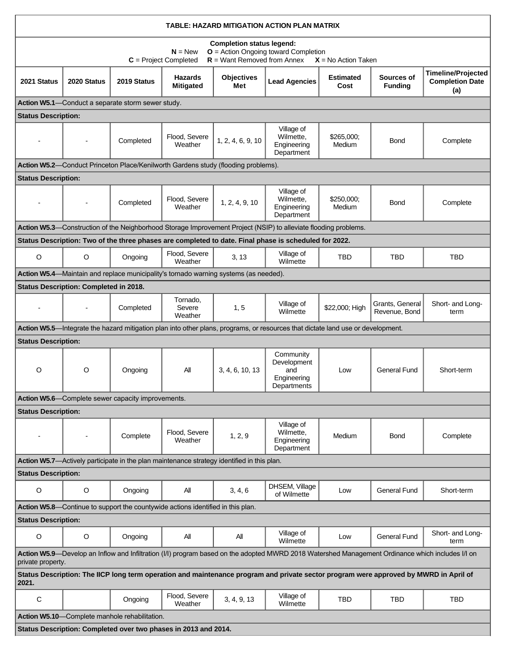| TABLE: HAZARD MITIGATION ACTION PLAN MATRIX                                                                                                                                  |                                        |                                                   |                                                                                            |                          |                                                                                                                                 |                          |                                  |                                                            |  |  |  |
|------------------------------------------------------------------------------------------------------------------------------------------------------------------------------|----------------------------------------|---------------------------------------------------|--------------------------------------------------------------------------------------------|--------------------------|---------------------------------------------------------------------------------------------------------------------------------|--------------------------|----------------------------------|------------------------------------------------------------|--|--|--|
| <b>Completion status legend:</b><br>$O =$ Action Ongoing toward Completion<br>$N = New$<br>$R =$ Want Removed from Annex<br>$C = Project Completed$<br>$X = No$ Action Taken |                                        |                                                   |                                                                                            |                          |                                                                                                                                 |                          |                                  |                                                            |  |  |  |
| 2021 Status                                                                                                                                                                  | 2020 Status                            | 2019 Status                                       | <b>Hazards</b><br><b>Mitigated</b>                                                         | <b>Objectives</b><br>Met | <b>Lead Agencies</b>                                                                                                            | <b>Estimated</b><br>Cost | Sources of<br><b>Funding</b>     | <b>Timeline/Projected</b><br><b>Completion Date</b><br>(a) |  |  |  |
| Action W5.1-Conduct a separate storm sewer study.                                                                                                                            |                                        |                                                   |                                                                                            |                          |                                                                                                                                 |                          |                                  |                                                            |  |  |  |
| <b>Status Description:</b>                                                                                                                                                   |                                        |                                                   |                                                                                            |                          |                                                                                                                                 |                          |                                  |                                                            |  |  |  |
|                                                                                                                                                                              | $\blacksquare$                         | Completed                                         | Flood, Severe<br>Weather                                                                   | 1, 2, 4, 6, 9, 10        | Village of<br>Wilmette,<br>Engineering<br>Department                                                                            | \$265,000;<br>Medium     | Bond                             | Complete                                                   |  |  |  |
| Action W5.2—Conduct Princeton Place/Kenilworth Gardens study (flooding problems).                                                                                            |                                        |                                                   |                                                                                            |                          |                                                                                                                                 |                          |                                  |                                                            |  |  |  |
| <b>Status Description:</b>                                                                                                                                                   |                                        |                                                   |                                                                                            |                          |                                                                                                                                 |                          |                                  |                                                            |  |  |  |
|                                                                                                                                                                              |                                        | Completed                                         | Flood, Severe<br>Weather                                                                   | 1, 2, 4, 9, 10           | Village of<br>Wilmette,<br>Engineering<br>Department                                                                            | \$250,000;<br>Medium     | <b>Bond</b>                      | Complete                                                   |  |  |  |
|                                                                                                                                                                              |                                        |                                                   |                                                                                            |                          | Action W5.3—Construction of the Neighborhood Storage Improvement Project (NSIP) to alleviate flooding problems.                 |                          |                                  |                                                            |  |  |  |
|                                                                                                                                                                              |                                        |                                                   |                                                                                            |                          | Status Description: Two of the three phases are completed to date. Final phase is scheduled for 2022.                           |                          |                                  |                                                            |  |  |  |
| $\mathsf O$                                                                                                                                                                  | O                                      | Ongoing                                           | Flood, Severe<br>Weather                                                                   | 3, 13                    | Village of<br>Wilmette                                                                                                          | TBD                      | TBD                              | TBD                                                        |  |  |  |
|                                                                                                                                                                              |                                        |                                                   | Action W5.4—Maintain and replace municipality's tornado warning systems (as needed).       |                          |                                                                                                                                 |                          |                                  |                                                            |  |  |  |
|                                                                                                                                                                              | Status Description: Completed in 2018. |                                                   |                                                                                            |                          |                                                                                                                                 |                          |                                  |                                                            |  |  |  |
|                                                                                                                                                                              |                                        | Completed                                         | Tornado,<br>Severe<br>Weather                                                              | 1, 5                     | Village of<br>Wilmette                                                                                                          | \$22,000; High           | Grants, General<br>Revenue, Bond | Short- and Long-<br>term                                   |  |  |  |
|                                                                                                                                                                              |                                        |                                                   |                                                                                            |                          | Action W5.5—Integrate the hazard mitigation plan into other plans, programs, or resources that dictate land use or development. |                          |                                  |                                                            |  |  |  |
| <b>Status Description:</b>                                                                                                                                                   |                                        |                                                   |                                                                                            |                          |                                                                                                                                 |                          |                                  |                                                            |  |  |  |
| O                                                                                                                                                                            | O                                      | Ongoing                                           | Αll                                                                                        | 3, 4, 6, 10, 13          | Community<br>Development<br>and<br>Engineering<br>Departments                                                                   | Low                      | <b>General Fund</b>              | Short-term                                                 |  |  |  |
|                                                                                                                                                                              |                                        | Action W5.6-Complete sewer capacity improvements. |                                                                                            |                          |                                                                                                                                 |                          |                                  |                                                            |  |  |  |
| <b>Status Description:</b>                                                                                                                                                   |                                        |                                                   |                                                                                            |                          |                                                                                                                                 |                          |                                  |                                                            |  |  |  |
|                                                                                                                                                                              |                                        | Complete                                          | Flood, Severe<br>Weather                                                                   | 1, 2, 9                  | Village of<br>Wilmette,<br>Engineering<br>Department                                                                            | Medium                   | Bond                             | Complete                                                   |  |  |  |
|                                                                                                                                                                              |                                        |                                                   | Action W5.7—Actively participate in the plan maintenance strategy identified in this plan. |                          |                                                                                                                                 |                          |                                  |                                                            |  |  |  |
| <b>Status Description:</b>                                                                                                                                                   |                                        |                                                   |                                                                                            |                          |                                                                                                                                 |                          |                                  |                                                            |  |  |  |
| O                                                                                                                                                                            | O                                      | Ongoing                                           | All                                                                                        | 3, 4, 6                  | DHSEM, Village<br>of Wilmette                                                                                                   | Low                      | General Fund                     | Short-term                                                 |  |  |  |
|                                                                                                                                                                              |                                        |                                                   | Action W5.8—Continue to support the countywide actions identified in this plan.            |                          |                                                                                                                                 |                          |                                  |                                                            |  |  |  |
| <b>Status Description:</b>                                                                                                                                                   |                                        |                                                   |                                                                                            |                          |                                                                                                                                 |                          |                                  |                                                            |  |  |  |
| O                                                                                                                                                                            | O                                      | Ongoing                                           | Αll                                                                                        | All                      | Village of<br>Wilmette                                                                                                          | Low                      | <b>General Fund</b>              | Short- and Long-<br>term                                   |  |  |  |
| Action W5.9—Develop an Inflow and Infiltration (I/I) program based on the adopted MWRD 2018 Watershed Management Ordinance which includes I/I on<br>private property.        |                                        |                                                   |                                                                                            |                          |                                                                                                                                 |                          |                                  |                                                            |  |  |  |
| Status Description: The IICP long term operation and maintenance program and private sector program were approved by MWRD in April of<br>2021.                               |                                        |                                                   |                                                                                            |                          |                                                                                                                                 |                          |                                  |                                                            |  |  |  |
| $\mathsf C$                                                                                                                                                                  |                                        | Ongoing                                           | Flood, Severe<br>Weather                                                                   | 3, 4, 9, 13              | Village of<br>Wilmette                                                                                                          | TBD                      | <b>TBD</b>                       | TBD                                                        |  |  |  |
| Action W5.10-Complete manhole rehabilitation.                                                                                                                                |                                        |                                                   |                                                                                            |                          |                                                                                                                                 |                          |                                  |                                                            |  |  |  |
| Status Description: Completed over two phases in 2013 and 2014.                                                                                                              |                                        |                                                   |                                                                                            |                          |                                                                                                                                 |                          |                                  |                                                            |  |  |  |